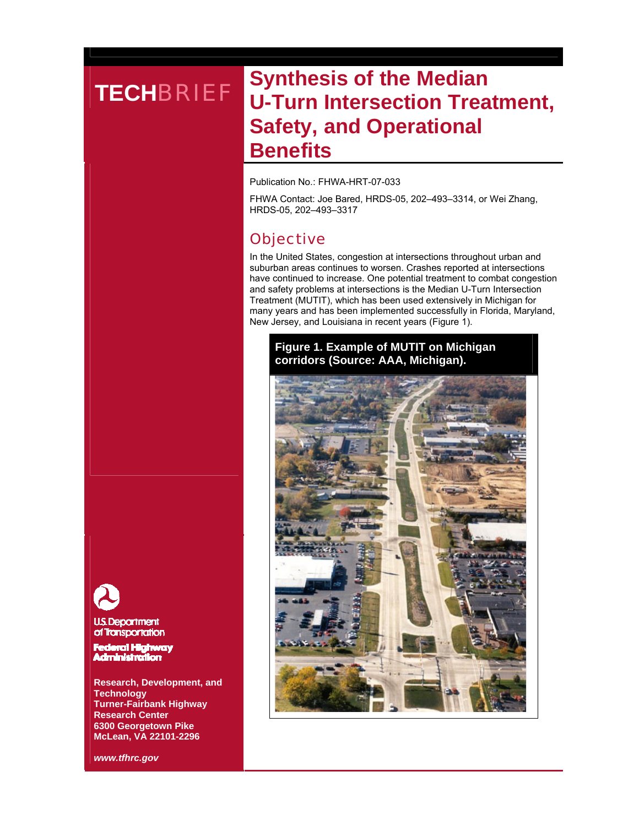# **TECHBRIEF** Synthesis of the Median **U-Turn Intersection Treatment, Safety, and Operational Benefits**

Publication No.: FHWA-HRT-07-033

FHWA Contact: Joe Bared, HRDS-05, 202–493–3314, or Wei Zhang, HRDS-05, 202–493–3317

## **Objective**

In the United States, congestion at intersections throughout urban and suburban areas continues to worsen. Crashes reported at intersections have continued to increase. One potential treatment to combat congestion and safety problems at intersections is the Median U-Turn Intersection Treatment (MUTIT), which has been used extensively in Michigan for many years and has been implemented successfully in Florida, Maryland, New Jersey, and Louisiana in recent years (Figure 1).

## **Figure 1. Example of MUTIT on Michigan corridors (Source: AAA, Michigan).**



**U.S. Department** 

of Transportation

Federal Highway **Administration** 

**Research, Development, and Technology Turner-Fairbank Highway Research Center 6300 Georgetown Pike McLean, VA 22101-2296** 

*www.tfhrc.gov*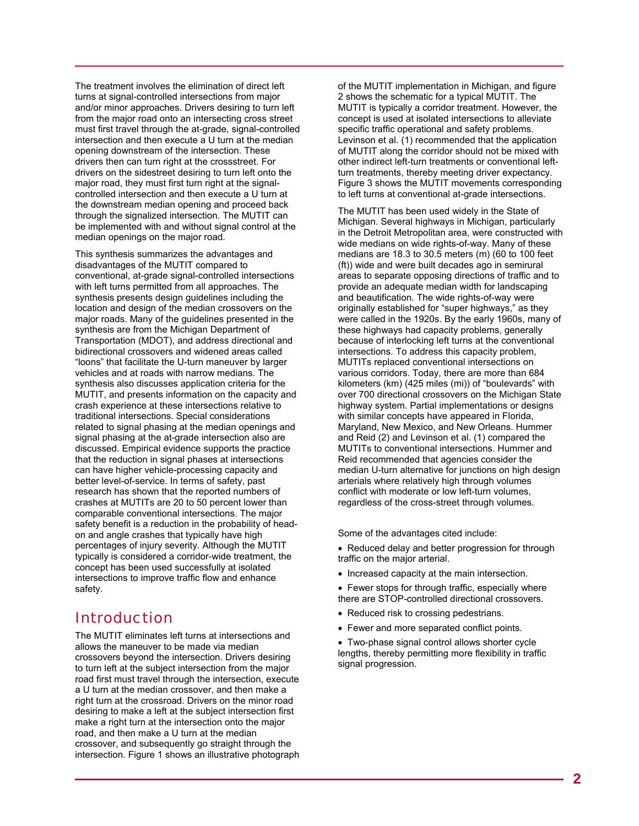The treatment involves the elimination of direct left turns at signal-controlled intersections from major and/or minor approaches. Drivers desiring to turn left from the major road onto an intersecting cross street must first travel through the at-grade, signal-controlled intersection and then execute a U turn at the median opening downstream of the intersection. These drivers then can turn right at the crossstreet. For drivers on the sidestreet desiring to turn left onto the major road, they must first turn right at the signalcontrolled intersection and then execute a U turn at the downstream median opening and proceed back through the signalized intersection. The MUTIT can be implemented with and without signal control at the median openings on the major road.

This synthesis summarizes the advantages and disadvantages of the MUTIT compared to conventional, at-grade signal-controlled intersections with left turns permitted from all approaches. The synthesis presents design guidelines including the location and design of the median crossovers on the major roads. Many of the guidelines presented in the synthesis are from the Michigan Department of Transportation (MDOT), and address directional and bidirectional crossovers and widened areas called "loons" that facilitate the U-turn maneuver by larger vehicles and at roads with narrow medians. The synthesis also discusses application criteria for the MUTIT, and presents information on the capacity and crash experience at these intersections relative to traditional intersections. Special considerations related to signal phasing at the median openings and signal phasing at the at-grade intersection also are discussed. Empirical evidence supports the practice that the reduction in signal phases at intersections can have higher vehicle-processing capacity and better level-of-service. In terms of safety, past research has shown that the reported numbers of crashes at MUTITs are 20 to 50 percent lower than comparable conventional intersections. The major safety benefit is a reduction in the probability of headon and angle crashes that typically have high percentages of injury severity. Although the MUTIT typically is considered a corridor-wide treatment, the concept has been used successfully at isolated intersections to improve traffic flow and enhance safety.

## Introduction

The MUTIT eliminates left turns at intersections and allows the maneuver to be made via median crossovers beyond the intersection. Drivers desiring to turn left at the subject intersection from the major road first must travel through the intersection, execute a U turn at the median crossover, and then make a right turn at the crossroad. Drivers on the minor road desiring to make a left at the subject intersection first make a right turn at the intersection onto the major road, and then make a U turn at the median crossover, and subsequently go straight through the intersection. Figure 1 shows an illustrative photograph

of the MUTIT implementation in Michigan, and figure 2 shows the schematic for a typical MUTIT. The MUTIT is typically a corridor treatment. However, the concept is used at isolated intersections to alleviate specific traffic operational and safety problems. Levinson et al. (1) recommended that the application of MUTIT along the corridor should not be mixed with other indirect left-turn treatments or conventional leftturn treatments, thereby meeting driver expectancy. Figure 3 shows the MUTIT movements corresponding to left turns at conventional at-grade intersections.

The MUTIT has been used widely in the State of Michigan. Several highways in Michigan, particularly in the Detroit Metropolitan area, were constructed with wide medians on wide rights-of-way. Many of these medians are 18.3 to 30.5 meters (m) (60 to 100 feet (ft)) wide and were built decades ago in semirural areas to separate opposing directions of traffic and to provide an adequate median width for landscaping and beautification. The wide rights-of-way were originally established for "super highways," as they were called in the 1920s. By the early 1960s, many of these highways had capacity problems, generally because of interlocking left turns at the conventional intersections. To address this capacity problem, MUTITs replaced conventional intersections on various corridors. Today, there are more than 684 kilometers (km) (425 miles (mi)) of "boulevards" with over 700 directional crossovers on the Michigan State highway system. Partial implementations or designs with similar concepts have appeared in Florida. Maryland, New Mexico, and New Orleans. Hummer and Reid (2) and Levinson et al. (1) compared the MUTITs to conventional intersections. Hummer and Reid recommended that agencies consider the median U-turn alternative for junctions on high design arterials where relatively high through volumes conflict with moderate or low left-turn volumes, regardless of the cross-street through volumes.

Some of the advantages cited include:

- Reduced delay and better progression for through traffic on the major arterial.
- Increased capacity at the main intersection.
- Fewer stops for through traffic, especially where there are STOP-controlled directional crossovers.
- Reduced risk to crossing pedestrians.
- Fewer and more separated conflict points.

• Two-phase signal control allows shorter cycle lengths, thereby permitting more flexibility in traffic signal progression.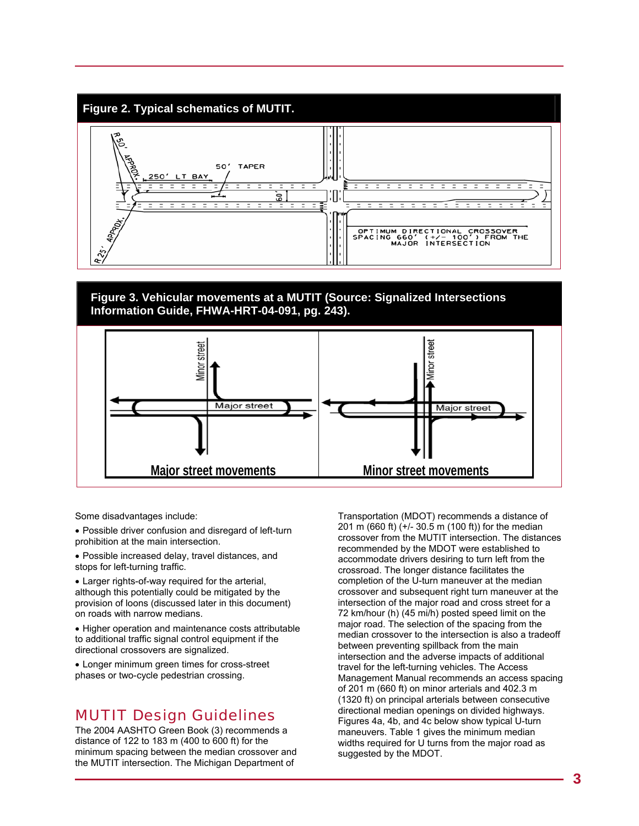

### **Figure 3. Vehicular movements at a MUTIT (Source: Signalized Intersections Information Guide, FHWA-HRT-04-091, pg. 243).**



Some disadvantages include:

• Possible driver confusion and disregard of left-turn prohibition at the main intersection.

• Possible increased delay, travel distances, and stops for left-turning traffic.

• Larger rights-of-way required for the arterial, although this potentially could be mitigated by the provision of loons (discussed later in this document) on roads with narrow medians.

• Higher operation and maintenance costs attributable to additional traffic signal control equipment if the directional crossovers are signalized.

• Longer minimum green times for cross-street phases or two-cycle pedestrian crossing.

## MUTIT Design Guidelines

The 2004 AASHTO Green Book (3) recommends a distance of 122 to 183 m (400 to 600 ft) for the minimum spacing between the median crossover and the MUTIT intersection. The Michigan Department of

Transportation (MDOT) recommends a distance of 201 m (660 ft) (+/- 30.5 m (100 ft)) for the median crossover from the MUTIT intersection. The distances recommended by the MDOT were established to accommodate drivers desiring to turn left from the crossroad. The longer distance facilitates the completion of the U-turn maneuver at the median crossover and subsequent right turn maneuver at the intersection of the major road and cross street for a 72 km/hour (h) (45 mi/h) posted speed limit on the major road. The selection of the spacing from the median crossover to the intersection is also a tradeoff between preventing spillback from the main intersection and the adverse impacts of additional travel for the left-turning vehicles. The Access Management Manual recommends an access spacing of 201 m (660 ft) on minor arterials and 402.3 m (1320 ft) on principal arterials between consecutive directional median openings on divided highways. Figures 4a, 4b, and 4c below show typical U-turn maneuvers. Table 1 gives the minimum median widths required for U turns from the major road as suggested by the MDOT.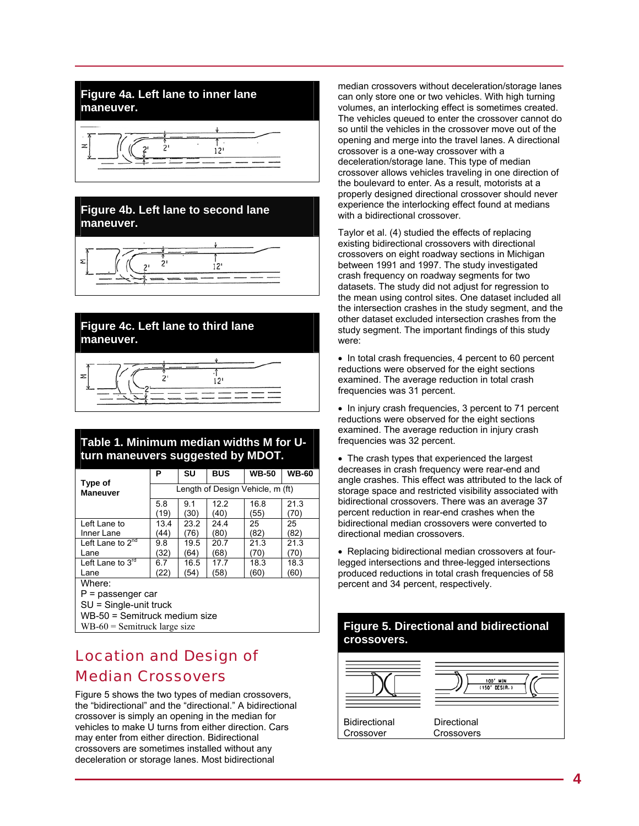## **Figure 4a. Left lane to inner lane maneuver.**



### **Figure 4b. Left lane to second lane maneuver.**



### **Figure 4c. Left lane to third lane maneuver.**



## **Table 1. Minimum median widths M for Uturn maneuvers suggested by MDOT.**

| Type of                          | P                                | SU   | <b>BUS</b> | <b>WB-50</b> | <b>WB-60</b> |  |  |
|----------------------------------|----------------------------------|------|------------|--------------|--------------|--|--|
| <b>Maneuver</b>                  | Length of Design Vehicle, m (ft) |      |            |              |              |  |  |
|                                  | 5.8                              | 91   | 12.2       | 16.8         | 21.3         |  |  |
|                                  | (19)                             | (30) | (40)       | (55)         | (70)         |  |  |
| Left Lane to                     | 13.4                             | 23.2 | 24.4       | 25           | 25           |  |  |
| Inner Lane                       | (44)                             | 76)  | (80)       | (82)         | (82)         |  |  |
| Left Lane to $2^{\overline{nd}}$ | 9.8                              | 19.5 | 20.7       | 21.3         | 21.3         |  |  |
| Lane                             | (32)                             | (64) | (68)       | (70)         | (70)         |  |  |
| Left Lane to $3^{rd}$            | 6.7                              | 16.5 | 17.7       | 18.3         | 18.3         |  |  |
| Lane                             | (22)                             | (54) | (58)       | (60)         | (60)         |  |  |
| Where:                           |                                  |      |            |              |              |  |  |
| P = passenger car                |                                  |      |            |              |              |  |  |
| $SI =$ Single-unit truck         |                                  |      |            |              |              |  |  |

SU = Single-unit truck WB-50 = Semitruck medium size

- $WB-60$  = Semitruck large size
- 

## Location and Design of Median Crossovers

Figure 5 shows the two types of median crossovers, the "bidirectional" and the "directional." A bidirectional crossover is simply an opening in the median for vehicles to make U turns from either direction. Cars may enter from either direction. Bidirectional crossovers are sometimes installed without any deceleration or storage lanes. Most bidirectional

median crossovers without deceleration/storage lanes can only store one or two vehicles. With high turning volumes, an interlocking effect is sometimes created. The vehicles queued to enter the crossover cannot do so until the vehicles in the crossover move out of the opening and merge into the travel lanes. A directional crossover is a one-way crossover with a deceleration/storage lane. This type of median crossover allows vehicles traveling in one direction of the boulevard to enter. As a result, motorists at a properly designed directional crossover should never experience the interlocking effect found at medians with a bidirectional crossover.

Taylor et al. (4) studied the effects of replacing existing bidirectional crossovers with directional crossovers on eight roadway sections in Michigan between 1991 and 1997. The study investigated crash frequency on roadway segments for two datasets. The study did not adjust for regression to the mean using control sites. One dataset included all the intersection crashes in the study segment, and the other dataset excluded intersection crashes from the study segment. The important findings of this study were:

• In total crash frequencies, 4 percent to 60 percent reductions were observed for the eight sections examined. The average reduction in total crash frequencies was 31 percent.

• In injury crash frequencies, 3 percent to 71 percent reductions were observed for the eight sections examined. The average reduction in injury crash frequencies was 32 percent.

• The crash types that experienced the largest decreases in crash frequency were rear-end and angle crashes. This effect was attributed to the lack of storage space and restricted visibility associated with bidirectional crossovers. There was an average 37 percent reduction in rear-end crashes when the bidirectional median crossovers were converted to directional median crossovers.

• Replacing bidirectional median crossovers at fourlegged intersections and three-legged intersections produced reductions in total crash frequencies of 58 percent and 34 percent, respectively.

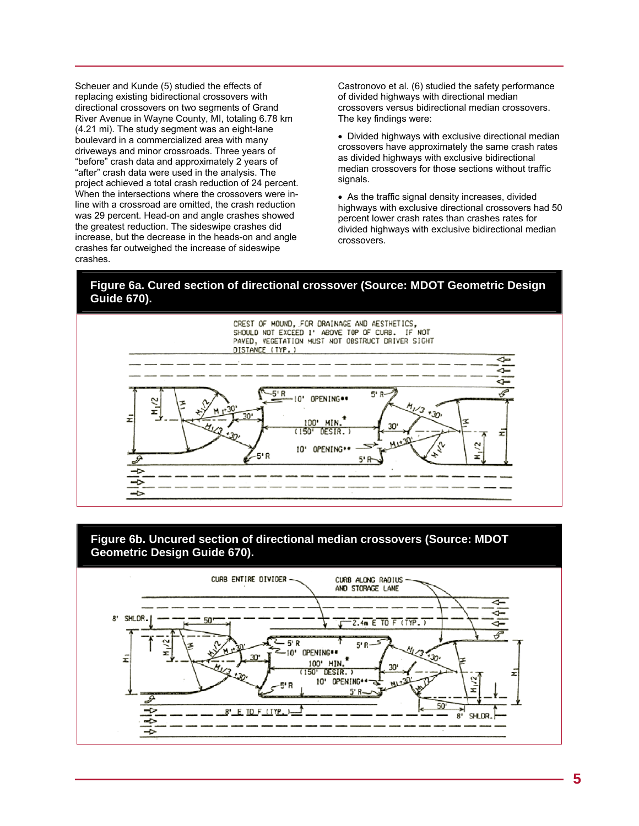Scheuer and Kunde (5) studied the effects of replacing existing bidirectional crossovers with directional crossovers on two segments of Grand River Avenue in Wayne County, MI, totaling 6.78 km (4.21 mi). The study segment was an eight-lane boulevard in a commercialized area with many driveways and minor crossroads. Three years of "before" crash data and approximately 2 years of "after" crash data were used in the analysis. The project achieved a total crash reduction of 24 percent. When the intersections where the crossovers were inline with a crossroad are omitted, the crash reduction was 29 percent. Head-on and angle crashes showed the greatest reduction. The sideswipe crashes did increase, but the decrease in the heads-on and angle crashes far outweighed the increase of sideswipe crashes.

Castronovo et al. (6) studied the safety performance of divided highways with directional median crossovers versus bidirectional median crossovers. The key findings were:

• Divided highways with exclusive directional median crossovers have approximately the same crash rates as divided highways with exclusive bidirectional median crossovers for those sections without traffic signals.

• As the traffic signal density increases, divided highways with exclusive directional crossovers had 50 percent lower crash rates than crashes rates for divided highways with exclusive bidirectional median crossovers.

### **Figure 6a. Cured section of directional crossover (Source: MDOT Geometric Design Guide 670).**





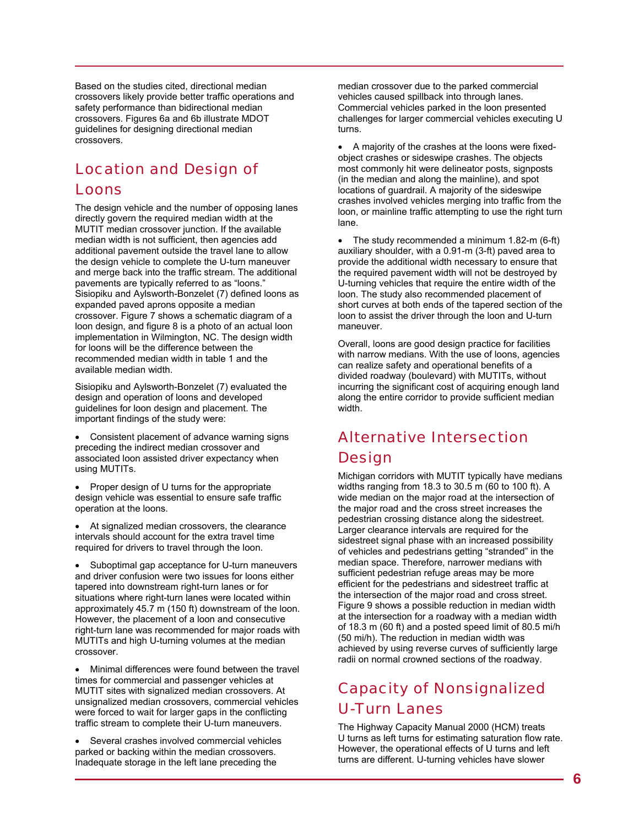Based on the studies cited, directional median crossovers likely provide better traffic operations and safety performance than bidirectional median crossovers. Figures 6a and 6b illustrate MDOT guidelines for designing directional median crossovers.

## Location and Design of

## Loons

The design vehicle and the number of opposing lanes directly govern the required median width at the MUTIT median crossover junction. If the available median width is not sufficient, then agencies add additional pavement outside the travel lane to allow the design vehicle to complete the U-turn maneuver and merge back into the traffic stream. The additional pavements are typically referred to as "loons." Sisiopiku and Aylsworth-Bonzelet (7) defined loons as expanded paved aprons opposite a median crossover. Figure 7 shows a schematic diagram of a loon design, and figure 8 is a photo of an actual loon implementation in Wilmington, NC. The design width for loons will be the difference between the recommended median width in table 1 and the available median width.

Sisiopiku and Aylsworth-Bonzelet (7) evaluated the design and operation of loons and developed guidelines for loon design and placement. The important findings of the study were:

• Consistent placement of advance warning signs preceding the indirect median crossover and associated loon assisted driver expectancy when using MUTITs.

• Proper design of U turns for the appropriate design vehicle was essential to ensure safe traffic operation at the loons.

• At signalized median crossovers, the clearance intervals should account for the extra travel time required for drivers to travel through the loon.

Suboptimal gap acceptance for U-turn maneuvers and driver confusion were two issues for loons either tapered into downstream right-turn lanes or for situations where right-turn lanes were located within approximately 45.7 m (150 ft) downstream of the loon. However, the placement of a loon and consecutive right-turn lane was recommended for major roads with MUTITs and high U-turning volumes at the median crossover.

• Minimal differences were found between the travel times for commercial and passenger vehicles at MUTIT sites with signalized median crossovers. At unsignalized median crossovers, commercial vehicles were forced to wait for larger gaps in the conflicting traffic stream to complete their U-turn maneuvers.

Several crashes involved commercial vehicles parked or backing within the median crossovers. Inadequate storage in the left lane preceding the

median crossover due to the parked commercial vehicles caused spillback into through lanes. Commercial vehicles parked in the loon presented challenges for larger commercial vehicles executing U turns.

• A majority of the crashes at the loons were fixedobject crashes or sideswipe crashes. The objects most commonly hit were delineator posts, signposts (in the median and along the mainline), and spot locations of guardrail. A majority of the sideswipe crashes involved vehicles merging into traffic from the loon, or mainline traffic attempting to use the right turn lane.

• The study recommended a minimum 1.82-m (6-ft) auxiliary shoulder, with a 0.91-m (3-ft) paved area to provide the additional width necessary to ensure that the required pavement width will not be destroyed by U-turning vehicles that require the entire width of the loon. The study also recommended placement of short curves at both ends of the tapered section of the loon to assist the driver through the loon and U-turn maneuver.

Overall, loons are good design practice for facilities with narrow medians. With the use of loons, agencies can realize safety and operational benefits of a divided roadway (boulevard) with MUTITs, without incurring the significant cost of acquiring enough land along the entire corridor to provide sufficient median width.

## Alternative Intersection **Design**

Michigan corridors with MUTIT typically have medians widths ranging from 18.3 to 30.5 m (60 to 100 ft). A wide median on the major road at the intersection of the major road and the cross street increases the pedestrian crossing distance along the sidestreet. Larger clearance intervals are required for the sidestreet signal phase with an increased possibility of vehicles and pedestrians getting "stranded" in the median space. Therefore, narrower medians with sufficient pedestrian refuge areas may be more efficient for the pedestrians and sidestreet traffic at the intersection of the major road and cross street. Figure 9 shows a possible reduction in median width at the intersection for a roadway with a median width of 18.3 m (60 ft) and a posted speed limit of 80.5 mi/h (50 mi/h). The reduction in median width was achieved by using reverse curves of sufficiently large radii on normal crowned sections of the roadway.

## Capacity of Nonsignalized U-Turn Lanes

The Highway Capacity Manual 2000 (HCM) treats U turns as left turns for estimating saturation flow rate. However, the operational effects of U turns and left turns are different. U-turning vehicles have slower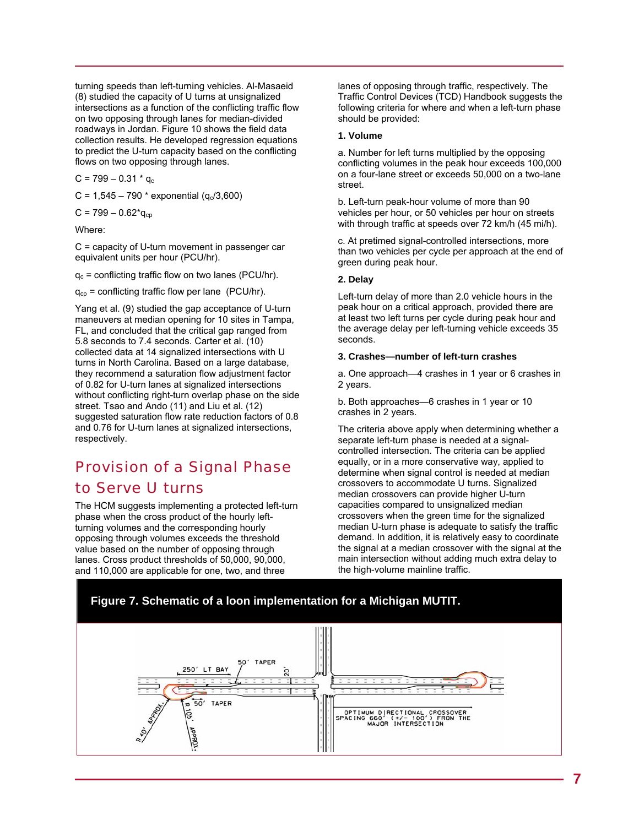turning speeds than left-turning vehicles. Al-Masaeid (8) studied the capacity of U turns at unsignalized intersections as a function of the conflicting traffic flow on two opposing through lanes for median-divided roadways in Jordan. Figure 10 shows the field data collection results. He developed regression equations to predict the U-turn capacity based on the conflicting flows on two opposing through lanes.

 $C = 799 - 0.31 * q_c$ 

 $C = 1,545 - 790$  \* exponential ( $q_c/3,600$ )

 $C = 799 - 0.62$ <sup>\*</sup>q<sub>cp</sub>

Where:

C = capacity of U-turn movement in passenger car equivalent units per hour (PCU/hr).

 $q_c$  = conflicting traffic flow on two lanes (PCU/hr).

 $q_{cp}$  = conflicting traffic flow per lane (PCU/hr).

Yang et al. (9) studied the gap acceptance of U-turn maneuvers at median opening for 10 sites in Tampa, FL, and concluded that the critical gap ranged from 5.8 seconds to 7.4 seconds. Carter et al. (10) collected data at 14 signalized intersections with U turns in North Carolina. Based on a large database, they recommend a saturation flow adjustment factor of 0.82 for U-turn lanes at signalized intersections without conflicting right-turn overlap phase on the side street. Tsao and Ando (11) and Liu et al. (12) suggested saturation flow rate reduction factors of 0.8 and 0.76 for U-turn lanes at signalized intersections, respectively.

## Provision of a Signal Phase to Serve U turns

The HCM suggests implementing a protected left-turn phase when the cross product of the hourly leftturning volumes and the corresponding hourly opposing through volumes exceeds the threshold value based on the number of opposing through lanes. Cross product thresholds of 50,000, 90,000, and 110,000 are applicable for one, two, and three

lanes of opposing through traffic, respectively. The Traffic Control Devices (TCD) Handbook suggests the following criteria for where and when a left-turn phase should be provided:

### **1. Volume**

a. Number for left turns multiplied by the opposing conflicting volumes in the peak hour exceeds 100,000 on a four-lane street or exceeds 50,000 on a two-lane street.

b. Left-turn peak-hour volume of more than 90 vehicles per hour, or 50 vehicles per hour on streets with through traffic at speeds over 72 km/h (45 mi/h).

c. At pretimed signal-controlled intersections, more than two vehicles per cycle per approach at the end of green during peak hour.

#### **2. Delay**

Left-turn delay of more than 2.0 vehicle hours in the peak hour on a critical approach, provided there are at least two left turns per cycle during peak hour and the average delay per left-turning vehicle exceeds 35 seconds.

#### **3. Crashes—number of left-turn crashes**

a. One approach—4 crashes in 1 year or 6 crashes in 2 years.

b. Both approaches—6 crashes in 1 year or 10 crashes in 2 years.

The criteria above apply when determining whether a separate left-turn phase is needed at a signalcontrolled intersection. The criteria can be applied equally, or in a more conservative way, applied to determine when signal control is needed at median crossovers to accommodate U turns. Signalized median crossovers can provide higher U-turn capacities compared to unsignalized median crossovers when the green time for the signalized median U-turn phase is adequate to satisfy the traffic demand. In addition, it is relatively easy to coordinate the signal at a median crossover with the signal at the main intersection without adding much extra delay to the high-volume mainline traffic.

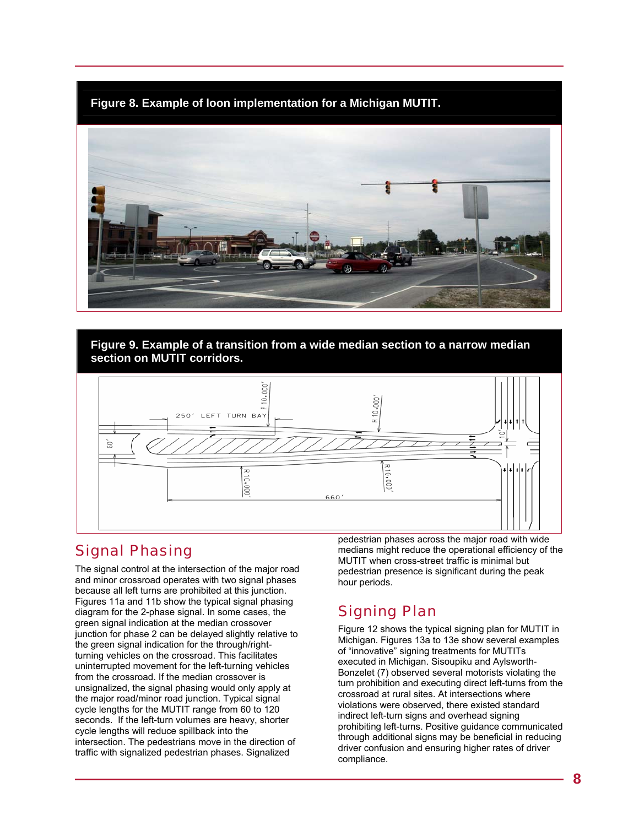**Figure 8. Example of loon implementation for a Michigan MUTIT.** 



### **Figure 9. Example of a transition from a wide median section to a narrow median section on MUTIT corridors.**



## Signal Phasing

The signal control at the intersection of the major road and minor crossroad operates with two signal phases because all left turns are prohibited at this junction. Figures 11a and 11b show the typical signal phasing diagram for the 2-phase signal. In some cases, the green signal indication at the median crossover junction for phase 2 can be delayed slightly relative to the green signal indication for the through/rightturning vehicles on the crossroad. This facilitates uninterrupted movement for the left-turning vehicles from the crossroad. If the median crossover is unsignalized, the signal phasing would only apply at the major road/minor road junction. Typical signal cycle lengths for the MUTIT range from 60 to 120 seconds. If the left-turn volumes are heavy, shorter cycle lengths will reduce spillback into the intersection. The pedestrians move in the direction of traffic with signalized pedestrian phases. Signalized

pedestrian phases across the major road with wide medians might reduce the operational efficiency of the MUTIT when cross-street traffic is minimal but pedestrian presence is significant during the peak hour periods.

## Signing Plan

Figure 12 shows the typical signing plan for MUTIT in Michigan. Figures 13a to 13e show several examples of "innovative" signing treatments for MUTITs executed in Michigan. Sisoupiku and Aylsworth-Bonzelet (7) observed several motorists violating the turn prohibition and executing direct left-turns from the crossroad at rural sites. At intersections where violations were observed, there existed standard indirect left-turn signs and overhead signing prohibiting left-turns. Positive guidance communicated through additional signs may be beneficial in reducing driver confusion and ensuring higher rates of driver compliance.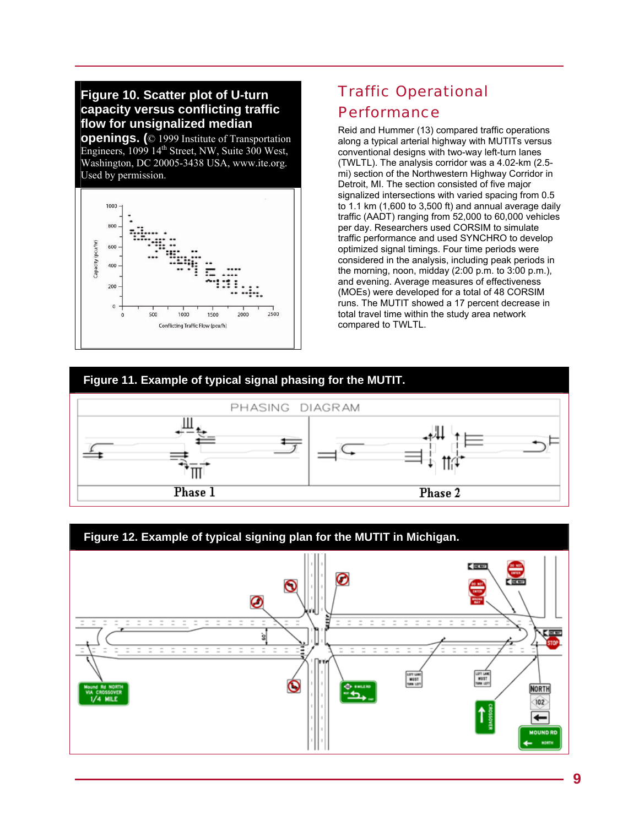## **Figure 10. Scatter plot of U-turn capacity versus conflicting traffic flow for unsignalized median**

**openings. (**© 1999 Institute of Transportation Engineers,  $1099 \, 14$ <sup>th</sup> Street, NW, Suite 300 West, Washington, DC 20005-3438 USA, www.ite.org. Used by permission.



## Traffic Operational Performance

Reid and Hummer (13) compared traffic operations along a typical arterial highway with MUTITs versus conventional designs with two-way left-turn lanes (TWLTL). The analysis corridor was a 4.02-km (2.5 mi) section of the Northwestern Highway Corridor in Detroit, MI. The section consisted of five major signalized intersections with varied spacing from 0.5 to 1.1 km (1,600 to 3,500 ft) and annual average daily traffic (AADT) ranging from 52,000 to 60,000 vehicles per day. Researchers used CORSIM to simulate traffic performance and used SYNCHRO to develop optimized signal timings. Four time periods were considered in the analysis, including peak periods in the morning, noon, midday (2:00 p.m. to 3:00 p.m.), and evening. Average measures of effectiveness (MOEs) were developed for a total of 48 CORSIM runs. The MUTIT showed a 17 percent decrease in total travel time within the study area network compared to TWLTL.

## **Figure 11. Example of typical signal phasing for the MUTIT.**



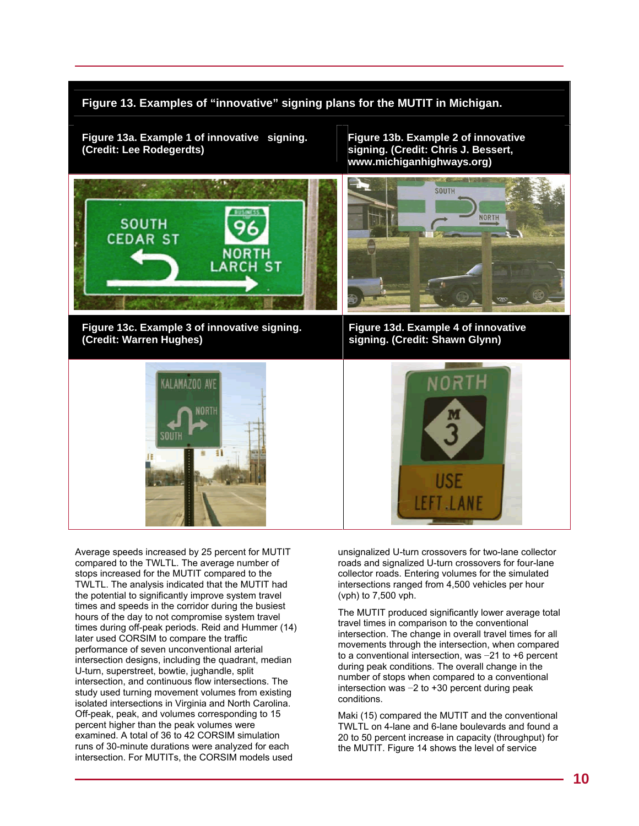### **Figure 13. Examples of "innovative" signing plans for the MUTIT in Michigan.**

**Figure 13a. Example 1 of innovative signing. Figure 13b. Example 2 of innovative** 

signing. (Credit: Chris J. Bessert, **www.michiganhighways.org)** 



**Figure 13c. Example 3 of innovative signing. Figure 13d. Example 4 of innovative** 



Average speeds increased by 25 percent for MUTIT compared to the TWLTL. The average number of stops increased for the MUTIT compared to the TWLTL. The analysis indicated that the MUTIT had the potential to significantly improve system travel times and speeds in the corridor during the busiest hours of the day to not compromise system travel times during off-peak periods. Reid and Hummer (14) later used CORSIM to compare the traffic performance of seven unconventional arterial intersection designs, including the quadrant, median U-turn, superstreet, bowtie, jughandle, split intersection, and continuous flow intersections. The study used turning movement volumes from existing isolated intersections in Virginia and North Carolina. Off-peak, peak, and volumes corresponding to 15 percent higher than the peak volumes were examined. A total of 36 to 42 CORSIM simulation runs of 30-minute durations were analyzed for each intersection. For MUTITs, the CORSIM models used



signing. (Credit: Shawn Glynn)

unsignalized U-turn crossovers for two-lane collector roads and signalized U-turn crossovers for four-lane collector roads. Entering volumes for the simulated intersections ranged from 4,500 vehicles per hour (vph) to 7,500 vph.

The MUTIT produced significantly lower average total travel times in comparison to the conventional intersection. The change in overall travel times for all movements through the intersection, when compared to a conventional intersection, was −21 to +6 percent during peak conditions. The overall change in the number of stops when compared to a conventional intersection was −2 to +30 percent during peak conditions.

Maki (15) compared the MUTIT and the conventional TWLTL on 4-lane and 6-lane boulevards and found a 20 to 50 percent increase in capacity (throughput) for the MUTIT. Figure 14 shows the level of service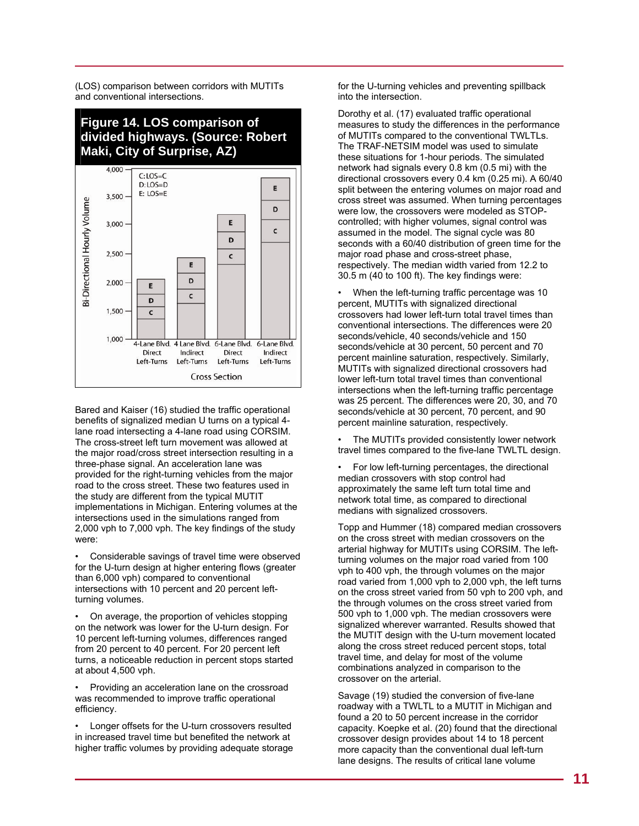(LOS) comparison between corridors with MUTITs and conventional intersections.

## **Figure 14. LOS comparison of divided highways. (Source: Robert Maki, City of Surprise, AZ)**



Bared and Kaiser (16) studied the traffic operational benefits of signalized median U turns on a typical 4 lane road intersecting a 4-lane road using CORSIM. The cross-street left turn movement was allowed at the major road/cross street intersection resulting in a three-phase signal. An acceleration lane was provided for the right-turning vehicles from the major road to the cross street. These two features used in the study are different from the typical MUTIT implementations in Michigan. Entering volumes at the intersections used in the simulations ranged from 2,000 vph to 7,000 vph. The key findings of the study were:

Considerable savings of travel time were observed for the U-turn design at higher entering flows (greater than 6,000 vph) compared to conventional intersections with 10 percent and 20 percent leftturning volumes.

• On average, the proportion of vehicles stopping on the network was lower for the U-turn design. For 10 percent left-turning volumes, differences ranged from 20 percent to 40 percent. For 20 percent left turns, a noticeable reduction in percent stops started at about 4,500 vph.

• Providing an acceleration lane on the crossroad was recommended to improve traffic operational efficiency.

Longer offsets for the U-turn crossovers resulted in increased travel time but benefited the network at higher traffic volumes by providing adequate storage for the U-turning vehicles and preventing spillback into the intersection.

Dorothy et al. (17) evaluated traffic operational measures to study the differences in the performance of MUTITs compared to the conventional TWLTLs. The TRAF-NETSIM model was used to simulate these situations for 1-hour periods. The simulated network had signals every 0.8 km (0.5 mi) with the directional crossovers every 0.4 km (0.25 mi). A 60/40 split between the entering volumes on major road and cross street was assumed. When turning percentages were low, the crossovers were modeled as STOPcontrolled; with higher volumes, signal control was assumed in the model. The signal cycle was 80 seconds with a 60/40 distribution of green time for the major road phase and cross-street phase, respectively. The median width varied from 12.2 to 30.5 m (40 to 100 ft). The key findings were:

• When the left-turning traffic percentage was 10 percent, MUTITs with signalized directional crossovers had lower left-turn total travel times than conventional intersections. The differences were 20 seconds/vehicle, 40 seconds/vehicle and 150 seconds/vehicle at 30 percent, 50 percent and 70 percent mainline saturation, respectively. Similarly, MUTITs with signalized directional crossovers had lower left-turn total travel times than conventional intersections when the left-turning traffic percentage was 25 percent. The differences were 20, 30, and 70 seconds/vehicle at 30 percent, 70 percent, and 90 percent mainline saturation, respectively.

The MUTITs provided consistently lower network travel times compared to the five-lane TWLTL design.

• For low left-turning percentages, the directional median crossovers with stop control had approximately the same left turn total time and network total time, as compared to directional medians with signalized crossovers.

Topp and Hummer (18) compared median crossovers on the cross street with median crossovers on the arterial highway for MUTITs using CORSIM. The leftturning volumes on the major road varied from 100 vph to 400 vph, the through volumes on the major road varied from 1,000 vph to 2,000 vph, the left turns on the cross street varied from 50 vph to 200 vph, and the through volumes on the cross street varied from 500 vph to 1,000 vph. The median crossovers were signalized wherever warranted. Results showed that the MUTIT design with the U-turn movement located along the cross street reduced percent stops, total travel time, and delay for most of the volume combinations analyzed in comparison to the crossover on the arterial.

Savage (19) studied the conversion of five-lane roadway with a TWLTL to a MUTIT in Michigan and found a 20 to 50 percent increase in the corridor capacity. Koepke et al. (20) found that the directional crossover design provides about 14 to 18 percent more capacity than the conventional dual left-turn lane designs. The results of critical lane volume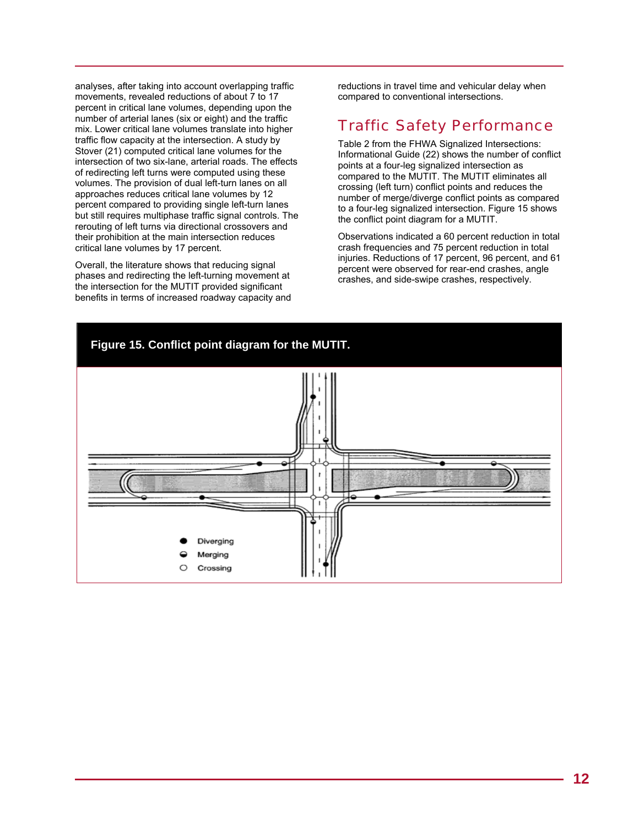analyses, after taking into account overlapping traffic movements, revealed reductions of about 7 to 17 percent in critical lane volumes, depending upon the number of arterial lanes (six or eight) and the traffic mix. Lower critical lane volumes translate into higher traffic flow capacity at the intersection. A study by Stover (21) computed critical lane volumes for the intersection of two six-lane, arterial roads. The effects of redirecting left turns were computed using these volumes. The provision of dual left-turn lanes on all approaches reduces critical lane volumes by 12 percent compared to providing single left-turn lanes but still requires multiphase traffic signal controls. The rerouting of left turns via directional crossovers and their prohibition at the main intersection reduces critical lane volumes by 17 percent.

Overall, the literature shows that reducing signal phases and redirecting the left-turning movement at the intersection for the MUTIT provided significant benefits in terms of increased roadway capacity and reductions in travel time and vehicular delay when compared to conventional intersections.

## Traffic Safety Performance

Table 2 from the FHWA Signalized Intersections: Informational Guide (22) shows the number of conflict points at a four-leg signalized intersection as compared to the MUTIT. The MUTIT eliminates all crossing (left turn) conflict points and reduces the number of merge/diverge conflict points as compared to a four-leg signalized intersection. Figure 15 shows the conflict point diagram for a MUTIT.

Observations indicated a 60 percent reduction in total crash frequencies and 75 percent reduction in total injuries. Reductions of 17 percent, 96 percent, and 61 percent were observed for rear-end crashes, angle crashes, and side-swipe crashes, respectively.

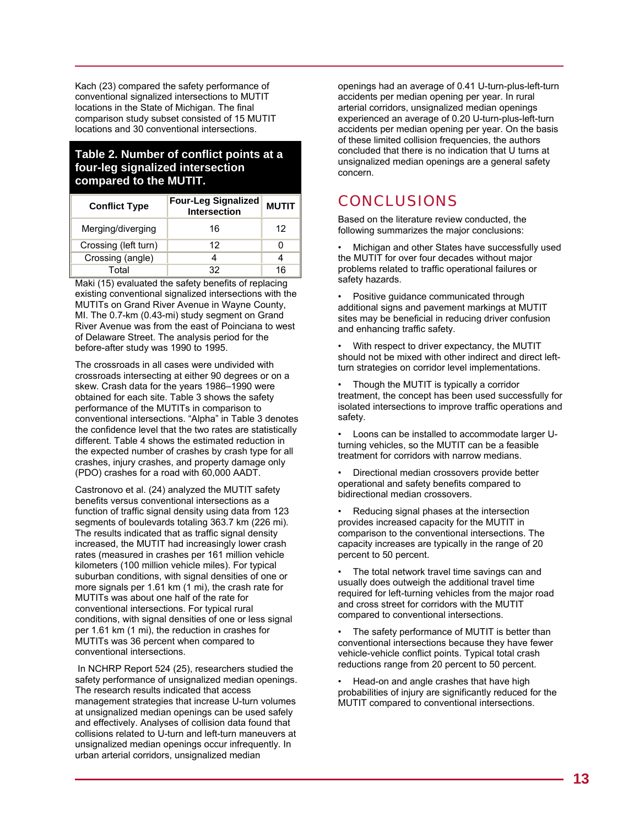Kach (23) compared the safety performance of conventional signalized intersections to MUTIT locations in the State of Michigan. The final comparison study subset consisted of 15 MUTIT locations and 30 conventional intersections.

### **Table 2. Number of conflict points at a four-leg signalized intersection compared to the MUTIT.**

| <b>Conflict Type</b> | <b>Four-Leg Signalized</b><br>Intersection | <b>MUTIT</b> |  |
|----------------------|--------------------------------------------|--------------|--|
| Merging/diverging    | 16                                         | 12           |  |
| Crossing (left turn) | 12                                         |              |  |
| Crossing (angle)     |                                            |              |  |
| Total                | 32                                         | 16           |  |

Maki (15) evaluated the safety benefits of replacing existing conventional signalized intersections with the MUTITs on Grand River Avenue in Wayne County, MI. The 0.7-km (0.43-mi) study segment on Grand River Avenue was from the east of Poinciana to west of Delaware Street. The analysis period for the before-after study was 1990 to 1995.

The crossroads in all cases were undivided with crossroads intersecting at either 90 degrees or on a skew. Crash data for the years 1986–1990 were obtained for each site. Table 3 shows the safety performance of the MUTITs in comparison to conventional intersections. "Alpha" in Table 3 denotes the confidence level that the two rates are statistically different. Table 4 shows the estimated reduction in the expected number of crashes by crash type for all crashes, injury crashes, and property damage only (PDO) crashes for a road with 60,000 AADT.

Castronovo et al. (24) analyzed the MUTIT safety benefits versus conventional intersections as a function of traffic signal density using data from 123 segments of boulevards totaling 363.7 km (226 mi). The results indicated that as traffic signal density increased, the MUTIT had increasingly lower crash rates (measured in crashes per 161 million vehicle kilometers (100 million vehicle miles). For typical suburban conditions, with signal densities of one or more signals per 1.61 km (1 mi), the crash rate for MUTITs was about one half of the rate for conventional intersections. For typical rural conditions, with signal densities of one or less signal per 1.61 km (1 mi), the reduction in crashes for MUTITs was 36 percent when compared to conventional intersections.

 In NCHRP Report 524 (25), researchers studied the safety performance of unsignalized median openings. The research results indicated that access management strategies that increase U-turn volumes at unsignalized median openings can be used safely and effectively. Analyses of collision data found that collisions related to U-turn and left-turn maneuvers at unsignalized median openings occur infrequently. In urban arterial corridors, unsignalized median

openings had an average of 0.41 U-turn-plus-left-turn accidents per median opening per year. In rural arterial corridors, unsignalized median openings experienced an average of 0.20 U-turn-plus-left-turn accidents per median opening per year. On the basis of these limited collision frequencies, the authors concluded that there is no indication that U turns at unsignalized median openings are a general safety concern.

## **CONCLUSIONS**

Based on the literature review conducted, the following summarizes the major conclusions:

• Michigan and other States have successfully used the MUTIT for over four decades without major problems related to traffic operational failures or safety hazards.

• Positive guidance communicated through additional signs and pavement markings at MUTIT sites may be beneficial in reducing driver confusion and enhancing traffic safety.

• With respect to driver expectancy, the MUTIT should not be mixed with other indirect and direct leftturn strategies on corridor level implementations.

• Though the MUTIT is typically a corridor treatment, the concept has been used successfully for isolated intersections to improve traffic operations and safety.

• Loons can be installed to accommodate larger Uturning vehicles, so the MUTIT can be a feasible treatment for corridors with narrow medians.

- Directional median crossovers provide better operational and safety benefits compared to bidirectional median crossovers.
- Reducing signal phases at the intersection provides increased capacity for the MUTIT in comparison to the conventional intersections. The capacity increases are typically in the range of 20 percent to 50 percent.

The total network travel time savings can and usually does outweigh the additional travel time required for left-turning vehicles from the major road and cross street for corridors with the MUTIT compared to conventional intersections.

The safety performance of MUTIT is better than conventional intersections because they have fewer vehicle-vehicle conflict points. Typical total crash reductions range from 20 percent to 50 percent.

• Head-on and angle crashes that have high probabilities of injury are significantly reduced for the MUTIT compared to conventional intersections.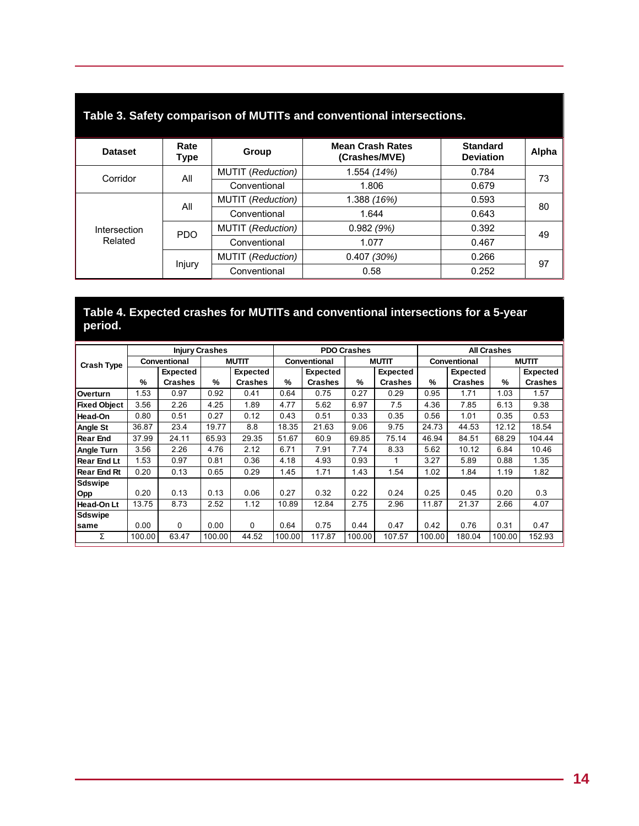| rable 5. Safety comparison of MOTITS and conventional intersections. |              |                                   |                                          |                                     |       |  |  |  |
|----------------------------------------------------------------------|--------------|-----------------------------------|------------------------------------------|-------------------------------------|-------|--|--|--|
| <b>Dataset</b>                                                       | Rate<br>Type | Group                             | <b>Mean Crash Rates</b><br>(Crashes/MVE) | <b>Standard</b><br><b>Deviation</b> | Alpha |  |  |  |
| Corridor                                                             | All          | <b>MUTIT</b> (Reduction)          | 1.554 (14%)                              | 0.784                               | 73    |  |  |  |
|                                                                      |              | Conventional                      | 1.806                                    | 0.679                               |       |  |  |  |
| Intersection<br>Related                                              | All          | <b>MUTIT</b> (Reduction)          | 1.388 (16%)                              | 0.593                               | 80    |  |  |  |
|                                                                      |              | Conventional                      | 1.644                                    | 0.643                               |       |  |  |  |
|                                                                      | <b>PDO</b>   | <b>MUTIT</b> (Reduction)          | 0.982(9%)                                | 0.392                               | 49    |  |  |  |
|                                                                      |              | Conventional                      | 1.077                                    | 0.467                               |       |  |  |  |
|                                                                      | Injury       | <b>MUTIT</b> ( <i>Reduction</i> ) | 0.407(30%)                               | 0.266                               | 97    |  |  |  |
|                                                                      |              | Conventional                      | 0.58                                     | 0.252                               |       |  |  |  |

### **Table 3. Safety comparison of MUTITs and conventional intersections.**

### **Table 4. Expected crashes for MUTITs and conventional intersections for a 5-year period.**

|                     | <b>Injury Crashes</b> |                 |              |                 | <b>PDO Crashes</b>  |                |               |                 | <b>All Crashes</b>  |                 |               |                |
|---------------------|-----------------------|-----------------|--------------|-----------------|---------------------|----------------|---------------|-----------------|---------------------|-----------------|---------------|----------------|
| <b>Crash Type</b>   | Conventional          |                 | <b>MUTIT</b> |                 | <b>Conventional</b> |                | <b>MUTIT</b>  |                 | <b>Conventional</b> |                 | <b>MUTIT</b>  |                |
|                     |                       | <b>Expected</b> |              | <b>Expected</b> |                     | Expected       |               | <b>Expected</b> |                     | <b>Expected</b> |               | Expected       |
|                     | %                     | <b>Crashes</b>  | %            | <b>Crashes</b>  | %                   | <b>Crashes</b> | $\frac{9}{6}$ | <b>Crashes</b>  | $\frac{9}{6}$       | <b>Crashes</b>  | $\frac{9}{6}$ | <b>Crashes</b> |
| <b>Overturn</b>     | 1.53                  | 0.97            | 0.92         | 0.41            | 0.64                | 0.75           | 0.27          | 0.29            | 0.95                | 1.71            | 1.03          | 1.57           |
| <b>Fixed Object</b> | 3.56                  | 2.26            | 4.25         | 1.89            | 4.77                | 5.62           | 6.97          | 7.5             | 4.36                | 7.85            | 6.13          | 9.38           |
| Head-On             | 0.80                  | 0.51            | 0.27         | 0.12            | 0.43                | 0.51           | 0.33          | 0.35            | 0.56                | 1.01            | 0.35          | 0.53           |
| Angle St            | 36.87                 | 23.4            | 19.77        | 8.8             | 18.35               | 21.63          | 9.06          | 9.75            | 24.73               | 44.53           | 12.12         | 18.54          |
| <b>Rear End</b>     | 37.99                 | 24.11           | 65.93        | 29.35           | 51.67               | 60.9           | 69.85         | 75.14           | 46.94               | 84.51           | 68.29         | 104.44         |
| Angle Turn          | 3.56                  | 2.26            | 4.76         | 2.12            | 6.71                | 7.91           | 7.74          | 8.33            | 5.62                | 10.12           | 6.84          | 10.46          |
| <b>Rear End Lt</b>  | 1.53                  | 0.97            | 0.81         | 0.36            | 4.18                | 4.93           | 0.93          | 1               | 3.27                | 5.89            | 0.88          | 1.35           |
| <b>Rear End Rt</b>  | 0.20                  | 0.13            | 0.65         | 0.29            | 1.45                | 1.71           | 1.43          | 1.54            | 1.02                | 1.84            | 1.19          | 1.82           |
| Sdswipe             |                       |                 |              |                 |                     |                |               |                 |                     |                 |               |                |
| Opp                 | 0.20                  | 0.13            | 0.13         | 0.06            | 0.27                | 0.32           | 0.22          | 0.24            | 0.25                | 0.45            | 0.20          | 0.3            |
| Head-On Lt          | 13.75                 | 8.73            | 2.52         | 1.12            | 10.89               | 12.84          | 2.75          | 2.96            | 11.87               | 21.37           | 2.66          | 4.07           |
| Sdswipe             |                       |                 |              |                 |                     |                |               |                 |                     |                 |               |                |
| same                | 0.00                  | $\Omega$        | 0.00         | 0               | 0.64                | 0.75           | 0.44          | 0.47            | 0.42                | 0.76            | 0.31          | 0.47           |
| Σ                   | 100.00                | 63.47           | 100.00       | 44.52           | 100.00              | 117.87         | 100.00        | 107.57          | 100.00              | 180.04          | 100.00        | 152.93         |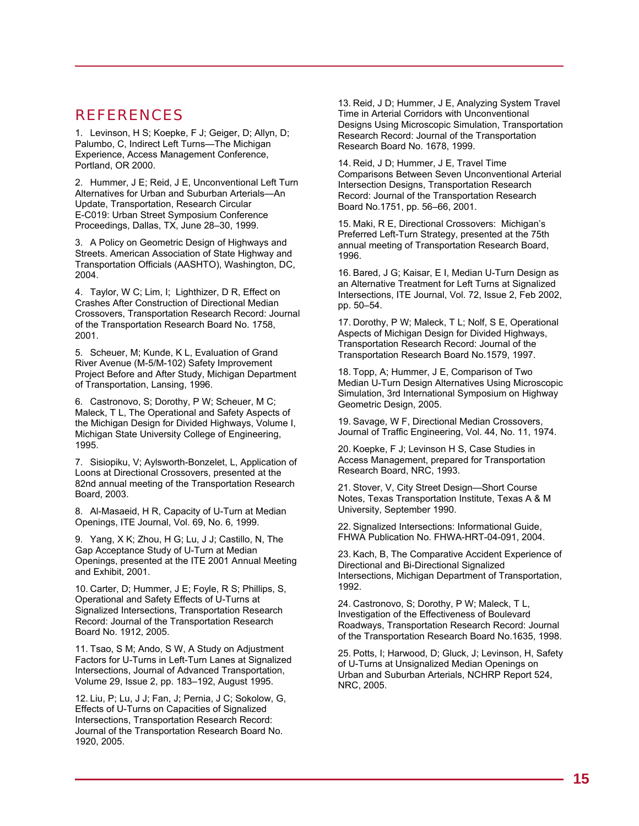## REFERENCES

1. Levinson, H S; Koepke, F J; Geiger, D; Allyn, D; Palumbo, C, Indirect Left Turns—The Michigan Experience, Access Management Conference, Portland, OR 2000.

2. Hummer, J E; Reid, J E, Unconventional Left Turn Alternatives for Urban and Suburban Arterials—An Update, Transportation, Research Circular E-C019: Urban Street Symposium Conference Proceedings, Dallas, TX, June 28–30, 1999.

3. A Policy on Geometric Design of Highways and Streets. American Association of State Highway and Transportation Officials (AASHTO), Washington, DC, 2004.

4. Taylor, W C; Lim, I; Lighthizer, D R, Effect on Crashes After Construction of Directional Median Crossovers, Transportation Research Record: Journal of the Transportation Research Board No. 1758, 2001.

5. Scheuer, M; Kunde, K L, Evaluation of Grand River Avenue (M-5/M-102) Safety Improvement Project Before and After Study, Michigan Department of Transportation, Lansing, 1996.

6. Castronovo, S; Dorothy, P W; Scheuer, M C; Maleck, T L, The Operational and Safety Aspects of the Michigan Design for Divided Highways, Volume I, Michigan State University College of Engineering, 1995.

7. Sisiopiku, V; Aylsworth-Bonzelet, L, Application of Loons at Directional Crossovers, presented at the 82nd annual meeting of the Transportation Research Board, 2003.

8. Al-Masaeid, H R, Capacity of U-Turn at Median Openings, ITE Journal, Vol. 69, No. 6, 1999.

9. Yang, X K; Zhou, H G; Lu, J J; Castillo, N, The Gap Acceptance Study of U-Turn at Median Openings, presented at the ITE 2001 Annual Meeting and Exhibit, 2001.

10. Carter, D; Hummer, J E; Foyle, R S; Phillips, S, Operational and Safety Effects of U-Turns at Signalized Intersections, Transportation Research Record: Journal of the Transportation Research Board No. 1912, 2005.

11. Tsao, S M; Ando, S W, A Study on Adjustment Factors for U-Turns in Left-Turn Lanes at Signalized Intersections, Journal of Advanced Transportation, Volume 29, Issue 2, pp. 183–192, August 1995.

12. Liu, P; Lu, J J; Fan, J; Pernia, J C; Sokolow, G, Effects of U-Turns on Capacities of Signalized Intersections, Transportation Research Record: Journal of the Transportation Research Board No. 1920, 2005.

13. Reid, J D; Hummer, J E, Analyzing System Travel Time in Arterial Corridors with Unconventional Designs Using Microscopic Simulation, Transportation Research Record: Journal of the Transportation Research Board No. 1678, 1999.

14. Reid, J D; Hummer, J E, Travel Time Comparisons Between Seven Unconventional Arterial Intersection Designs, Transportation Research Record: Journal of the Transportation Research Board No.1751, pp. 56–66, 2001.

15. Maki, R E, Directional Crossovers: Michigan's Preferred Left-Turn Strategy, presented at the 75th annual meeting of Transportation Research Board, 1996.

16. Bared, J G; Kaisar, E I, Median U-Turn Design as an Alternative Treatment for Left Turns at Signalized Intersections, ITE Journal, Vol. 72, Issue 2, Feb 2002, pp. 50–54.

17. Dorothy, P W; Maleck, T L; Nolf, S E, Operational Aspects of Michigan Design for Divided Highways, Transportation Research Record: Journal of the Transportation Research Board No.1579, 1997.

18. Topp, A; Hummer, J E, Comparison of Two Median U-Turn Design Alternatives Using Microscopic Simulation, 3rd International Symposium on Highway Geometric Design, 2005.

19. Savage, W F, Directional Median Crossovers, Journal of Traffic Engineering, Vol. 44, No. 11, 1974.

20. Koepke, F J; Levinson H S, Case Studies in Access Management, prepared for Transportation Research Board, NRC, 1993.

21. Stover, V, City Street Design—Short Course Notes, Texas Transportation Institute, Texas A & M University, September 1990.

22. Signalized Intersections: Informational Guide, FHWA Publication No. FHWA-HRT-04-091, 2004.

23. Kach, B, The Comparative Accident Experience of Directional and Bi-Directional Signalized Intersections, Michigan Department of Transportation, 1992.

24. Castronovo, S; Dorothy, P W; Maleck, T L, Investigation of the Effectiveness of Boulevard Roadways, Transportation Research Record: Journal of the Transportation Research Board No.1635, 1998.

25. Potts, I; Harwood, D; Gluck, J; Levinson, H, Safety of U-Turns at Unsignalized Median Openings on Urban and Suburban Arterials, NCHRP Report 524, NRC, 2005.